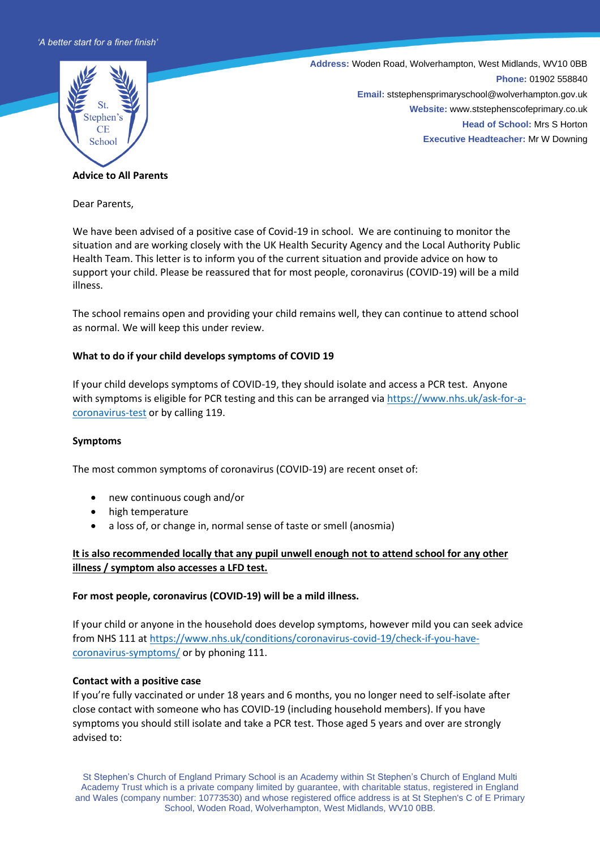

**Address:** Woden Road, Wolverhampton, West Midlands, WV10 0BB **Phone:** 01902 558840 **Email:** ststephensprimaryschool@wolverhampton.gov.uk **Website:** www.ststephenscofeprimary.co.uk **Head of School:** Mrs S Horton **Executive Headteacher:** Mr W Downing

#### **Advice to All Parents**

Dear Parents,

We have been advised of a positive case of Covid-19 in school.We are continuing to monitor the situation and are working closely with the UK Health Security Agency and the Local Authority Public Health Team. This letter is to inform you of the current situation and provide advice on how to support your child. Please be reassured that for most people, coronavirus (COVID-19) will be a mild illness.

The school remains open and providing your child remains well, they can continue to attend school as normal. We will keep this under review.

## **What to do if your child develops symptoms of COVID 19**

If your child develops symptoms of COVID-19, they should isolate and access a PCR test. Anyone with symptoms is eligible for PCR testing and this can be arranged via [https://www.nhs.uk/ask-for-a](https://www.nhs.uk/ask-for-a-coronavirus-test)[coronavirus-test](https://www.nhs.uk/ask-for-a-coronavirus-test) or by calling 119.

## **Symptoms**

The most common symptoms of coronavirus (COVID-19) are recent onset of:

- new continuous cough and/or
- high temperature
- a loss of, or change in, normal sense of taste or smell (anosmia)

# **It is also recommended locally that any pupil unwell enough not to attend school for any other illness / symptom also accesses a LFD test.**

## **For most people, coronavirus (COVID-19) will be a mild illness.**

If your child or anyone in the household does develop symptoms, however mild you can seek advice from NHS 111 a[t https://www.nhs.uk/conditions/coronavirus-covid-19/check-if-you-have](https://www.nhs.uk/conditions/coronavirus-covid-19/check-if-you-have-coronavirus-symptoms/)[coronavirus-symptoms/](https://www.nhs.uk/conditions/coronavirus-covid-19/check-if-you-have-coronavirus-symptoms/) or by phoning 111.

## **Contact with a positive case**

If you're fully vaccinated or under 18 years and 6 months, you no longer need to self-isolate after close contact with someone who has COVID-19 (including household members). If you have symptoms you should still isolate and take a PCR test. Those aged 5 years and over are strongly advised to: